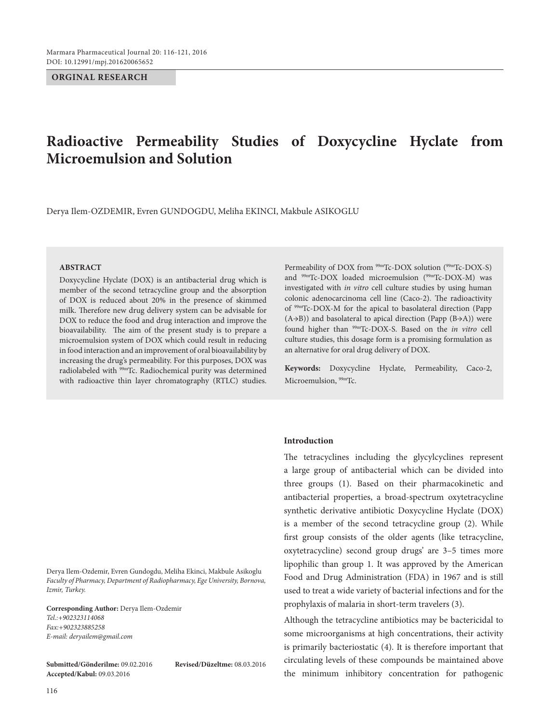**ORGINAL RESEARCH**

# **Radioactive Permeability Studies of Doxycycline Hyclate from Microemulsion and Solution**

Derya Ilem-OZDEMIR, Evren GUNDOGDU, Meliha EKINCI, Makbule ASIKOGLU

#### **ABSTRACT**

Doxycycline Hyclate (DOX) is an antibacterial drug which is member of the second tetracycline group and the absorption of DOX is reduced about 20% in the presence of skimmed milk. Therefore new drug delivery system can be advisable for DOX to reduce the food and drug interaction and improve the bioavailability. The aim of the present study is to prepare a microemulsion system of DOX which could result in reducing in food interaction and an improvement of oral bioavailability by increasing the drug's permeability. For this purposes, DOX was radiolabeled with 99mTc. Radiochemical purity was determined with radioactive thin layer chromatography (RTLC) studies.

Derya Ilem-Ozdemir, Evren Gundogdu, Meliha Ekinci, Makbule Asikoglu *Faculty of Pharmacy, Department of Radiopharmacy, Ege University, Bornova, Izmir, Turkey.*

**Corresponding Author:** Derya Ilem-Ozdemir *Tel.:+902323114068 Fax:+902323885258 E-mail: deryailem@gmail.com*

**Submitted/Gönderilme:** 09.02.2016 **Revised/Düzeltme:** 08.03.2016 **Accepted/Kabul:** 09.03.2016

Permeability of DOX from <sup>99mT</sup>C-DOX solution (<sup>99mT</sup>C-DOX-S) and <sup>99mT</sup>c-DOX loaded microemulsion (<sup>99mT</sup>c-DOX-M) was investigated with *in vitro* cell culture studies by using human colonic adenocarcinoma cell line (Caco-2). The radioactivity of 99mTc-DOX-M for the apical to basolateral direction (Papp  $(A \rightarrow B)$ ) and basolateral to apical direction (Papp  $(B \rightarrow A)$ ) were found higher than 99mTc-DOX-S. Based on the *in vitro* cell culture studies, this dosage form is a promising formulation as an alternative for oral drug delivery of DOX.

**Keywords:** Doxycycline Hyclate, Permeability, Caco-2, Microemulsion, <sup>99mT</sup>c.

#### **Introduction**

The tetracyclines including the glycylcyclines represent a large group of antibacterial which can be divided into three groups (1). Based on their pharmacokinetic and antibacterial properties, a broad-spectrum oxytetracycline synthetic derivative antibiotic Doxycycline Hyclate (DOX) is a member of the second tetracycline group (2). While first group consists of the older agents (like tetracycline, oxytetracycline) second group drugs' are 3–5 times more lipophilic than group 1. It was approved by the American Food and Drug Administration (FDA) in 1967 and is still used to treat a wide variety of bacterial infections and for the prophylaxis of malaria in short-term travelers (3).

Although the tetracycline antibiotics may be bactericidal to some microorganisms at high concentrations, their activity is primarily bacteriostatic (4). It is therefore important that circulating levels of these compounds be maintained above the minimum inhibitory concentration for pathogenic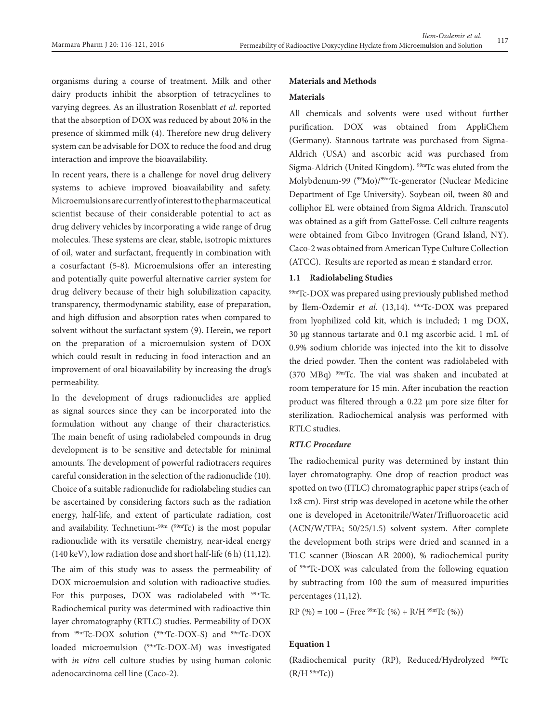organisms during a course of treatment. Milk and other dairy products inhibit the absorption of tetracyclines to varying degrees. As an illustration Rosenblatt *et al*. reported that the absorption of DOX was reduced by about 20% in the presence of skimmed milk (4). Therefore new drug delivery system can be advisable for DOX to reduce the food and drug interaction and improve the bioavailability.

In recent years, there is a challenge for novel drug delivery systems to achieve improved bioavailability and safety. Microemulsions are currently of interest to the pharmaceutical scientist because of their considerable potential to act as drug delivery vehicles by incorporating a wide range of drug molecules. These systems are clear, stable, isotropic mixtures of oil, water and surfactant, frequently in combination with a cosurfactant (5-8). Microemulsions offer an interesting and potentially quite powerful alternative carrier system for drug delivery because of their high solubilization capacity, transparency, thermodynamic stability, ease of preparation, and high diffusion and absorption rates when compared to solvent without the surfactant system (9). Herein, we report on the preparation of a microemulsion system of DOX which could result in reducing in food interaction and an improvement of oral bioavailability by increasing the drug's permeability.

In the development of drugs radionuclides are applied as signal sources since they can be incorporated into the formulation without any change of their characteristics. The main benefit of using radiolabeled compounds in drug development is to be sensitive and detectable for minimal amounts. The development of powerful radiotracers requires careful consideration in the selection of the radionuclide (10). Choice of a suitable radionuclide for radiolabeling studies can be ascertained by considering factors such as the radiation energy, half-life, and extent of particulate radiation, cost and availability. Technetium-<sup>99m</sup> (<sup>99mT</sup>c) is the most popular radionuclide with its versatile chemistry, near-ideal energy (140 keV), low radiation dose and short half-life (6 h) (11,12).

The aim of this study was to assess the permeability of DOX microemulsion and solution with radioactive studies. For this purposes, DOX was radiolabeled with  $99mTc$ . Radiochemical purity was determined with radioactive thin layer chromatography (RTLC) studies. Permeability of DOX from 99mTc-DOX solution (99mTc-DOX-S) and 99mTc-DOX loaded microemulsion (<sup>99mT</sup>c-DOX-M) was investigated with *in vitro* cell culture studies by using human colonic adenocarcinoma cell line (Caco-2).

## **Materials and Methods**

## **Materials**

All chemicals and solvents were used without further purification. DOX was obtained from AppliChem (Germany). Stannous tartrate was purchased from Sigma-Aldrich (USA) and ascorbic acid was purchased from Sigma-Aldrich (United Kingdom). 99mTc was eluted from the Molybdenum-99 (99Mo)/99mTc-generator (Nuclear Medicine Department of Ege University). Soybean oil, tween 80 and colliphor EL were obtained from Sigma Aldrich. Transcutol was obtained as a gift from GatteFosse. Cell culture reagents were obtained from Gibco Invitrogen (Grand Island, NY). Caco-2 was obtained from American Type Culture Collection (ATCC). Results are reported as mean ± standard error.

## **1.1 Radiolabeling Studies**

99mTc-DOX was prepared using previously published method by İlem-Özdemir et al. (13,14). <sup>99mT</sup>c-DOX was prepared from lyophilized cold kit, which is included; 1 mg DOX, 30 µg stannous tartarate and 0.1 mg ascorbic acid. 1 mL of 0.9% sodium chloride was injected into the kit to dissolve the dried powder. Then the content was radiolabeled with (370 MBq) 99mTc. The vial was shaken and incubated at room temperature for 15 min. After incubation the reaction product was filtered through a 0.22 µm pore size filter for sterilization. Radiochemical analysis was performed with RTLC studies.

#### *RTLC Procedure*

The radiochemical purity was determined by instant thin layer chromatography. One drop of reaction product was spotted on two (ITLC) chromatographic paper strips (each of 1x8 cm). First strip was developed in acetone while the other one is developed in Acetonitrile/Water/Trifluoroacetic acid (ACN/W/TFA; 50/25/1.5) solvent system. After complete the development both strips were dried and scanned in a TLC scanner (Bioscan AR 2000), % radiochemical purity of 99mTc-DOX was calculated from the following equation by subtracting from 100 the sum of measured impurities percentages (11,12).

RP (%) = 100 – (Free  $^{99m}$ Tc (%) + R/H  $^{99m}$ Tc (%))

## **Equation 1**

**(**Radiochemical purity (RP), Reduced/Hydrolyzed 99mTc  $(R/H^{99m}Tc)$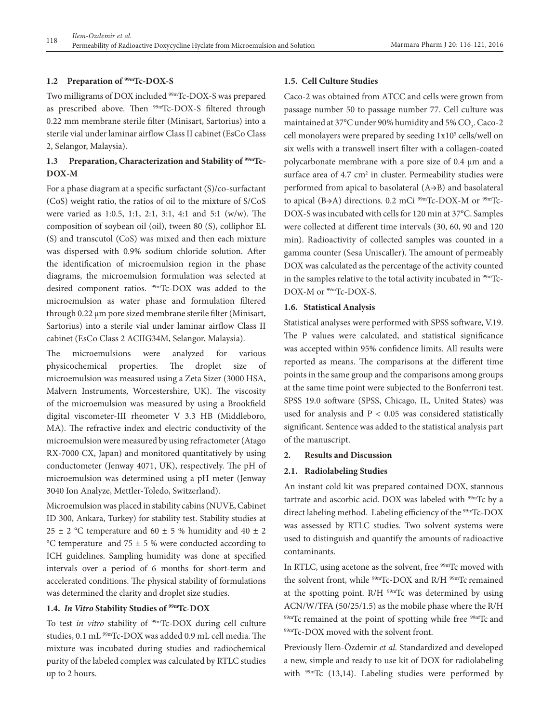## **1.2 Preparation of 99mTc-DOX-S**

Two milligrams of DOX included 99mTc-DOX-S was prepared as prescribed above. Then <sup>99mT</sup>C-DOX-S filtered through 0.22 mm membrane sterile filter (Minisart, Sartorius) into a sterile vial under laminar airflow Class II cabinet (EsCo Class 2, Selangor, Malaysia).

# **1.3 Preparation, Characterization and Stability of 99mTc-DOX-M**

For a phase diagram at a specific surfactant (S)/co-surfactant (CoS) weight ratio, the ratios of oil to the mixture of S/CoS were varied as 1:0.5, 1:1, 2:1, 3:1, 4:1 and 5:1 (w/w). The composition of soybean oil (oil), tween 80 (S), colliphor EL (S) and transcutol (CoS) was mixed and then each mixture was dispersed with 0.9% sodium chloride solution. After the identification of microemulsion region in the phase diagrams, the microemulsion formulation was selected at desired component ratios. <sup>99mT</sup>C-DOX was added to the microemulsion as water phase and formulation filtered through 0.22 µm pore sized membrane sterile filter (Minisart, Sartorius) into a sterile vial under laminar airflow Class II cabinet (EsCo Class 2 ACIIG34M, Selangor, Malaysia).

The microemulsions were analyzed for various physicochemical properties. The droplet size of microemulsion was measured using a Zeta Sizer (3000 HSA, Malvern Instruments, Worcestershire, UK). The viscosity of the microemulsion was measured by using a Brookfield digital viscometer-III rheometer V 3.3 HB (Middleboro, MA). The refractive index and electric conductivity of the microemulsion were measured by using refractometer (Atago RX-7000 CX, Japan) and monitored quantitatively by using conductometer (Jenway 4071, UK), respectively. The pH of microemulsion was determined using a pH meter (Jenway 3040 Ion Analyze, Mettler-Toledo, Switzerland).

Microemulsion was placed in stability cabins (NUVE, Cabinet ID 300, Ankara, Turkey) for stability test. Stability studies at 25  $\pm$  2 °C temperature and 60  $\pm$  5 % humidity and 40  $\pm$  2 °C temperature and 75  $\pm$  5 % were conducted according to ICH guidelines. Sampling humidity was done at specified intervals over a period of 6 months for short-term and accelerated conditions. The physical stability of formulations was determined the clarity and droplet size studies.

## **1.4.** *In Vitro* **Stability Studies of 99mTc-DOX**

To test *in vitro* stability of <sup>99mT</sup>C-DOX during cell culture studies, 0.1 mL 99mTc-DOX was added 0.9 mL cell media. The mixture was incubated during studies and radiochemical purity of the labeled complex was calculated by RTLC studies up to 2 hours.

## **1.5. Cell Culture Studies**

Caco-2 was obtained from ATCC and cells were grown from passage number 50 to passage number 77. Cell culture was maintained at 37°C under 90% humidity and 5% CO<sub>2</sub>. Caco-2 cell monolayers were prepared by seeding  $1x10<sup>5</sup>$  cells/well on six wells with a transwell insert filter with a collagen-coated polycarbonate membrane with a pore size of 0.4 μm and a surface area of  $4.7 \text{ cm}^2$  in cluster. Permeability studies were performed from apical to basolateral (A→B) and basolateral to apical (B→A) directions. 0.2 mCi 99mTc-DOX-M or 99mTc-DOX-S was incubated with cells for 120 min at 37°C. Samples were collected at different time intervals (30, 60, 90 and 120 min). Radioactivity of collected samples was counted in a gamma counter (Sesa Uniscaller). The amount of permeably DOX was calculated as the percentage of the activity counted in the samples relative to the total activity incubated in 99mTc-DOX-M or  $99m$ Tc-DOX-S.

## **1.6. Statistical Analysis**

Statistical analyses were performed with SPSS software, V.19. The P values were calculated, and statistical significance was accepted within 95% confidence limits. All results were reported as means. The comparisons at the different time points in the same group and the comparisons among groups at the same time point were subjected to the Bonferroni test. SPSS 19.0 software (SPSS, Chicago, IL, United States) was used for analysis and P < 0.05 was considered statistically significant. Sentence was added to the statistical analysis part of the manuscript.

## **2. Results and Discussion**

## **2.1. Radiolabeling Studies**

An instant cold kit was prepared contained DOX, stannous tartrate and ascorbic acid. DOX was labeled with <sup>99m</sup>Tc by a direct labeling method. Labeling efficiency of the <sup>99mT</sup>C-DOX was assessed by RTLC studies. Two solvent systems were used to distinguish and quantify the amounts of radioactive contaminants.

In RTLC, using acetone as the solvent, free <sup>99mT</sup>c moved with the solvent front, while  $99mTc-DOX$  and R/H  $99mTc$  remained at the spotting point.  $R/H$  <sup>99mT</sup>c was determined by using ACN/W/TFA (50/25/1.5) as the mobile phase where the R/H 99mTc remained at the point of spotting while free <sup>99mT</sup>c and 99mTc-DOX moved with the solvent front.

Previously İlem-Özdemir *et al.* Standardized and developed a new, simple and ready to use kit of DOX for radiolabeling with  $99mTc$  (13,14). Labeling studies were performed by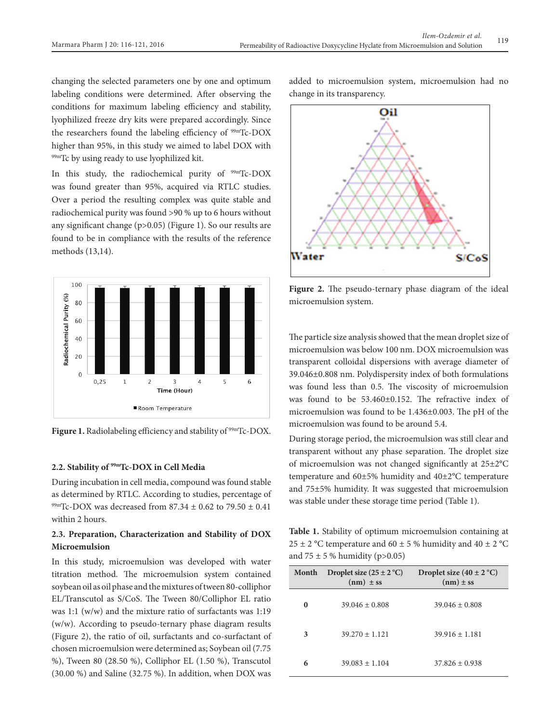changing the selected parameters one by one and optimum labeling conditions were determined. After observing the conditions for maximum labeling efficiency and stability, lyophilized freeze dry kits were prepared accordingly. Since the researchers found the labeling efficiency of <sup>99mT</sup>C-DOX higher than 95%, in this study we aimed to label DOX with 99mTc by using ready to use lyophilized kit.

In this study, the radiochemical purity of <sup>99mT</sup>C-DOX was found greater than 95%, acquired via RTLC studies. Over a period the resulting complex was quite stable and radiochemical purity was found >90 % up to 6 hours without any significant change (p>0.05) (Figure 1). So our results are found to be in compliance with the results of the reference methods (13,14).



Figure 1. Radiolabeling efficiency and stability of <sup>99mT</sup>c-DOX.

#### **2.2. Stability of 99mTc-DOX in Cell Media**

During incubation in cell media, compound was found stable as determined by RTLC. According to studies, percentage of  $^{99m}$ Tc-DOX was decreased from 87.34  $\pm$  0.62 to 79.50  $\pm$  0.41 within 2 hours.

## **2.3. Preparation, Characterization and Stability of DOX Microemulsion**

In this study, microemulsion was developed with water titration method. The microemulsion system contained soybean oil as oil phase and the mixtures of tween 80-colliphor EL/Transcutol as S/CoS. The Tween 80/Colliphor EL ratio was 1:1 (w/w) and the mixture ratio of surfactants was 1:19 (w/w). According to pseudo-ternary phase diagram results (Figure 2), the ratio of oil, surfactants and co-surfactant of chosen microemulsion were determined as; Soybean oil (7.75 %), Tween 80 (28.50 %), Colliphor EL (1.50 %), Transcutol (30.00 %) and Saline (32.75 %). In addition, when DOX was

added to microemulsion system, microemulsion had no change in its transparency.



**Figure 2.** The pseudo-ternary phase diagram of the ideal microemulsion system.

The particle size analysis showed that the mean droplet size of microemulsion was below 100 nm. DOX microemulsion was transparent colloidal dispersions with average diameter of 39.046±0.808 nm. Polydispersity index of both formulations was found less than 0.5. The viscosity of microemulsion was found to be 53.460±0.152. The refractive index of microemulsion was found to be 1.436±0.003. The pH of the microemulsion was found to be around 5.4.

During storage period, the microemulsion was still clear and transparent without any phase separation. The droplet size of microemulsion was not changed significantly at 25±2°C temperature and 60±5% humidity and 40±2°C temperature and 75±5% humidity. It was suggested that microemulsion was stable under these storage time period (Table 1).

**Table 1.** Stability of optimum microemulsion containing at 25  $\pm$  2 °C temperature and 60  $\pm$  5 % humidity and 40  $\pm$  2 °C and  $75 \pm 5$  % humidity (p>0.05)

| <b>Month</b> | Droplet size $(25 \pm 2 \degree C)$<br>$(nm) \pm ss$ | Droplet size $(40 \pm 2 \degree C)$<br>$(nm) \pm ss$ |
|--------------|------------------------------------------------------|------------------------------------------------------|
| 0            | $39.046 \pm 0.808$                                   | $39.046 + 0.808$                                     |
| 3            | $39.270 \pm 1.121$                                   | $39.916 + 1.181$                                     |
| 6            | $39.083 + 1.104$                                     | $37.826 + 0.938$                                     |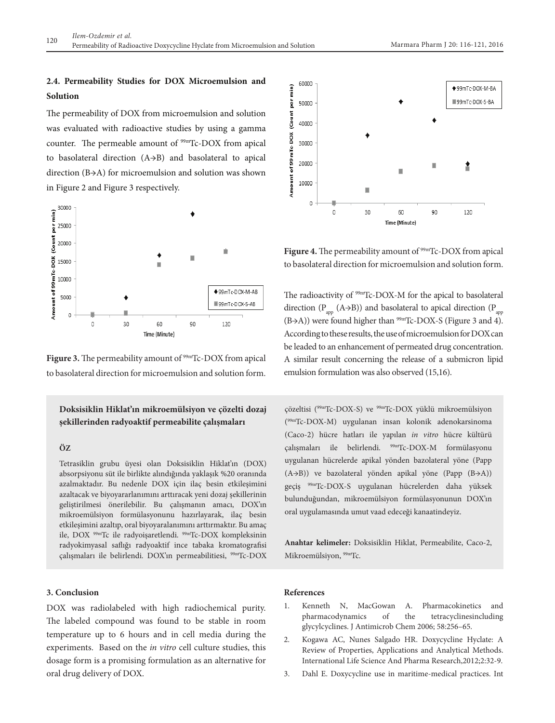# **2.4. Permeability Studies for DOX Microemulsion and Solution**

The permeability of DOX from microemulsion and solution was evaluated with radioactive studies by using a gamma counter. The permeable amount of <sup>99mT</sup>C-DOX from apical to basolateral direction (A→B) and basolateral to apical direction (B→A) for microemulsion and solution was shown in Figure 2 and Figure 3 respectively.



Figure 3. The permeability amount of <sup>99mT</sup>C-DOX from apical to basolateral direction for microemulsion and solution form.

**Doksisiklin Hiklat'ın mikroemülsiyon ve çözelti dozaj şekillerinden radyoaktif permeabilite çalışmaları**

#### **ÖZ**

Tetrasiklin grubu üyesi olan Doksisiklin Hiklat'ın (DOX) absorpsiyonu süt ile birlikte alındığında yaklaşık %20 oranında azalmaktadır. Bu nedenle DOX için ilaç besin etkileşimini azaltacak ve biyoyararlanımını arttıracak yeni dozaj şekillerinin geliştirilmesi önerilebilir. Bu çalışmanın amacı, DOX'ın mikroemülsiyon formülasyonunu hazırlayarak, ilaç besin etkileşimini azaltıp, oral biyoyaralanımını arttırmaktır. Bu amaç ile, DOX 99mTc ile radyoişaretlendi. 99mTc-DOX kompleksinin radyokimyasal saflığı radyoaktif ince tabaka kromatografisi çalışmaları ile belirlendi. DOX'ın permeabilitiesi, 99mTc-DOX

#### **3. Conclusion**

DOX was radiolabeled with high radiochemical purity. The labeled compound was found to be stable in room temperature up to 6 hours and in cell media during the experiments. Based on the *in vitro* cell culture studies, this dosage form is a promising formulation as an alternative for oral drug delivery of DOX.



Figure 4. The permeability amount of <sup>99mT</sup>C-DOX from apical to basolateral direction for microemulsion and solution form.

The radioactivity of <sup>99m</sup>Tc-DOX-M for the apical to basolateral direction ( $P_{\text{ann}}$  (A→B)) and basolateral to apical direction ( $P_{\text{ann}}$  $(B\rightarrow A)$ ) were found higher than <sup>99mT</sup>C-DOX-S (Figure 3 and 4). According to these results, the use of microemulsion for DOX can be leaded to an enhancement of permeated drug concentration. A similar result concerning the release of a submicron lipid emulsion formulation was also observed (15,16).

çözeltisi (99mTc-DOX-S) ve 99mTc-DOX yüklü mikroemülsiyon (99mTc-DOX-M) uygulanan insan kolonik adenokarsinoma (Caco-2) hücre hatları ile yapılan *in vitro* hücre kültürü çalışmaları ile belirlendi. 99mTc-DOX-M formülasyonu uygulanan hücrelerde apikal yönden bazolateral yöne (Papp (A→B)) ve bazolateral yönden apikal yöne (Papp (B→A)) geçiş 99mTc-DOX-S uygulanan hücrelerden daha yüksek bulunduğundan, mikroemülsiyon formülasyonunun DOX'ın oral uygulamasında umut vaad edeceği kanaatindeyiz.

**Anahtar kelimeler:** Doksisiklin Hiklat, Permeabilite, Caco-2, Mikroemülsiyon, <sup>99m</sup>Tc.

#### **References**

- 1. Kenneth N, MacGowan A. Pharmacokinetics and pharmacodynamics of the tetracyclinesincluding glycylcyclines. J Antimicrob Chem 2006; 58:256–65.
- 2. Kogawa AC, Nunes Salgado HR. Doxycycline Hyclate: A Review of Properties, Applications and Analytical Methods. International Life Science And Pharma Research,2012;2:32-9.
- 3. Dahl E. Doxycycline use in maritime-medical practices. Int